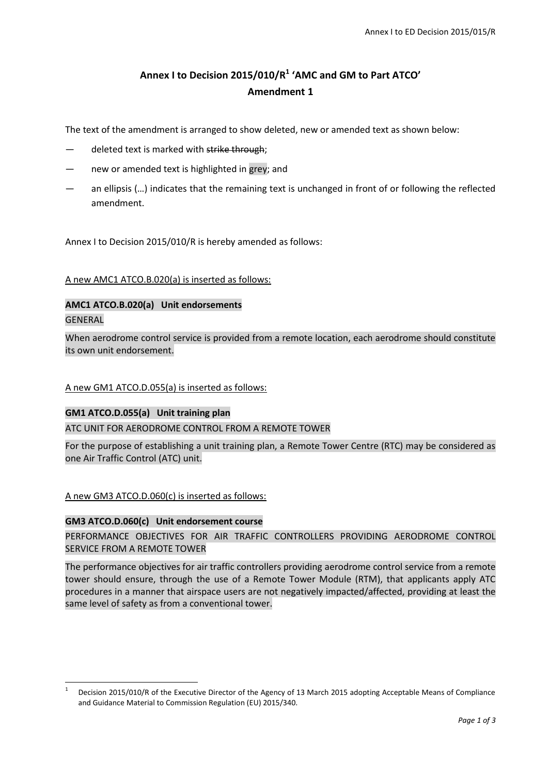# **Annex I to Decision 2015/010/R<sup>1</sup> 'AMC and GM to Part ATCO' Amendment 1**

The text of the amendment is arranged to show deleted, new or amended text as shown below:

- deleted text is marked with strike through;
- new or amended text is highlighted in grey; and
- an ellipsis (…) indicates that the remaining text is unchanged in front of or following the reflected amendment.

Annex I to Decision 2015/010/R is hereby amended as follows:

## A new AMC1 ATCO.B.020(a) is inserted as follows:

## **AMC1 ATCO.B.020(a) Unit endorsements** GENERAL

When aerodrome control service is provided from a remote location, each aerodrome should constitute its own unit endorsement.

## A new GM1 ATCO.D.055(a) is inserted as follows:

## **GM1 ATCO.D.055(a) Unit training plan**

## ATC UNIT FOR AERODROME CONTROL FROM A REMOTE TOWER

For the purpose of establishing a unit training plan, a Remote Tower Centre (RTC) may be considered as one Air Traffic Control (ATC) unit.

A new GM3 ATCO.D.060(c) is inserted as follows:

## **GM3 ATCO.D.060(c) Unit endorsement course**

 $\overline{a}$ 

PERFORMANCE OBJECTIVES FOR AIR TRAFFIC CONTROLLERS PROVIDING AERODROME CONTROL SERVICE FROM A REMOTE TOWER

The performance objectives for air traffic controllers providing aerodrome control service from a remote tower should ensure, through the use of a Remote Tower Module (RTM), that applicants apply ATC procedures in a manner that airspace users are not negatively impacted/affected, providing at least the same level of safety as from a conventional tower.

<sup>1</sup> Decision 2015/010/R of the Executive Director of the Agency of 13 March 2015 adopting Acceptable Means of Compliance and Guidance Material to Commission Regulation (EU) 2015/340.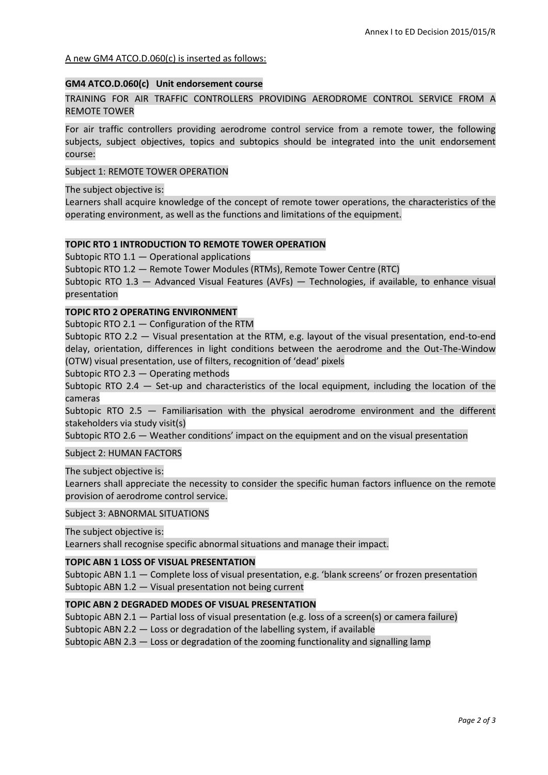## A new GM4 ATCO.D.060(c) is inserted as follows:

## **GM4 ATCO.D.060(c) Unit endorsement course**

TRAINING FOR AIR TRAFFIC CONTROLLERS PROVIDING AERODROME CONTROL SERVICE FROM A REMOTE TOWER

For air traffic controllers providing aerodrome control service from a remote tower, the following subjects, subject objectives, topics and subtopics should be integrated into the unit endorsement course:

## Subject 1: REMOTE TOWER OPERATION

The subject objective is:

Learners shall acquire knowledge of the concept of remote tower operations, the characteristics of the operating environment, as well as the functions and limitations of the equipment.

## **TOPIC RTO 1 INTRODUCTION TO REMOTE TOWER OPERATION**

Subtopic RTO 1.1 — Operational applications

Subtopic RTO 1.2 — Remote Tower Modules (RTMs), Remote Tower Centre (RTC)

Subtopic RTO 1.3 — Advanced Visual Features (AVFs) — Technologies, if available, to enhance visual presentation

## **TOPIC RTO 2 OPERATING ENVIRONMENT**

Subtopic RTO 2.1 — Configuration of the RTM

Subtopic RTO 2.2 — Visual presentation at the RTM, e.g. layout of the visual presentation, end-to-end delay, orientation, differences in light conditions between the aerodrome and the Out-The-Window (OTW) visual presentation, use of filters, recognition of 'dead' pixels

Subtopic RTO 2.3 — Operating methods

Subtopic RTO 2.4 — Set-up and characteristics of the local equipment, including the location of the cameras

Subtopic RTO 2.5 — Familiarisation with the physical aerodrome environment and the different stakeholders via study visit(s)

Subtopic RTO 2.6 — Weather conditions' impact on the equipment and on the visual presentation

## Subject 2: HUMAN FACTORS

The subject objective is: Learners shall appreciate the necessity to consider the specific human factors influence on the remote provision of aerodrome control service.

## Subject 3: ABNORMAL SITUATIONS

The subject objective is: Learners shall recognise specific abnormal situations and manage their impact.

## **TOPIC ABN 1 LOSS OF VISUAL PRESENTATION**

Subtopic ABN 1.1 — Complete loss of visual presentation, e.g. 'blank screens' or frozen presentation Subtopic ABN 1.2 — Visual presentation not being current

## **TOPIC ABN 2 DEGRADED MODES OF VISUAL PRESENTATION**

Subtopic ABN 2.1 — Partial loss of visual presentation (e.g. loss of a screen(s) or camera failure) Subtopic ABN 2.2 — Loss or degradation of the labelling system, if available Subtopic ABN 2.3 — Loss or degradation of the zooming functionality and signalling lamp